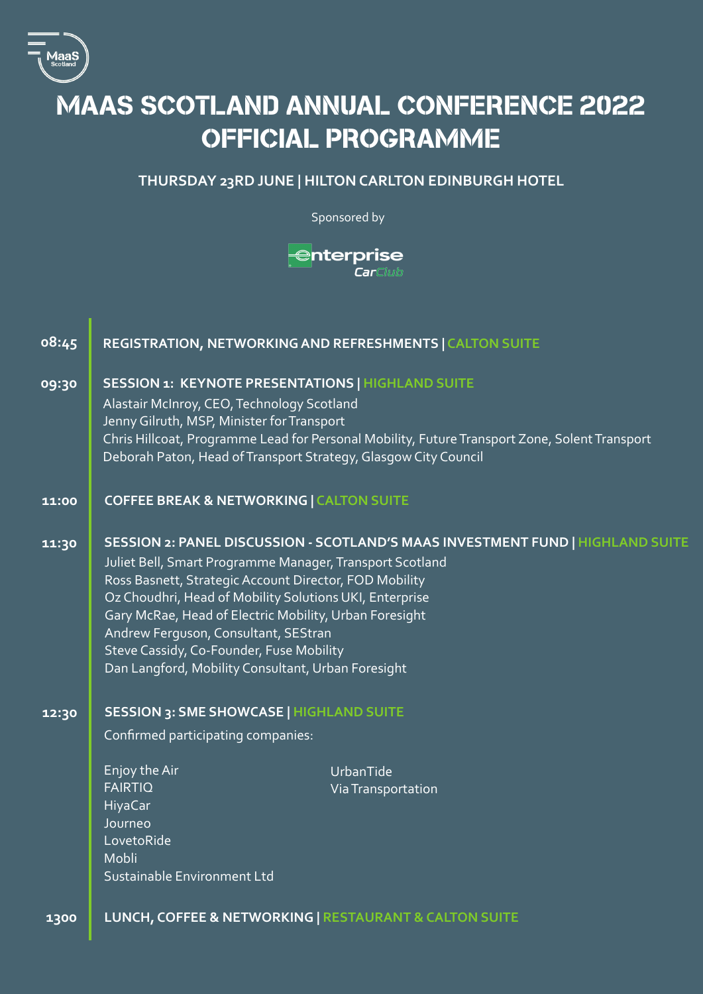

## MAAS SCOTLAND ANNUAL CONFERENCE 2022 OFFICIAL PROGRAMME

## **THURSDAY 23RD JUNE | HILTON CARLTON EDINBURGH HOTEL**

Sponsored by

 $\bigoplus$ nterprise .<br>CarClub

| 08:45 | REGISTRATION, NETWORKING AND REFRESHMENTS   CALTON SUITE                                                                                                                                                                                                                                                                                                                                                                                                            |                                 |
|-------|---------------------------------------------------------------------------------------------------------------------------------------------------------------------------------------------------------------------------------------------------------------------------------------------------------------------------------------------------------------------------------------------------------------------------------------------------------------------|---------------------------------|
| 09:30 | <b>SESSION 1: KEYNOTE PRESENTATIONS   HIGHLAND SUITE</b><br>Alastair McInroy, CEO, Technology Scotland<br>Jenny Gilruth, MSP, Minister for Transport<br>Chris Hillcoat, Programme Lead for Personal Mobility, Future Transport Zone, Solent Transport<br>Deborah Paton, Head of Transport Strategy, Glasgow City Council                                                                                                                                            |                                 |
| 11:00 | <b>COFFEE BREAK &amp; NETWORKING   CALTON SUITE</b>                                                                                                                                                                                                                                                                                                                                                                                                                 |                                 |
| 11:30 | SESSION 2: PANEL DISCUSSION - SCOTLAND'S MAAS INVESTMENT FUND   HIGHLAND SUITE<br>Juliet Bell, Smart Programme Manager, Transport Scotland<br>Ross Basnett, Strategic Account Director, FOD Mobility<br>Oz Choudhri, Head of Mobility Solutions UKI, Enterprise<br>Gary McRae, Head of Electric Mobility, Urban Foresight<br>Andrew Ferguson, Consultant, SEStran<br>Steve Cassidy, Co-Founder, Fuse Mobility<br>Dan Langford, Mobility Consultant, Urban Foresight |                                 |
| 12:30 | <b>SESSION 3: SME SHOWCASE   HIGHLAND SUITE</b>                                                                                                                                                                                                                                                                                                                                                                                                                     |                                 |
|       | Confirmed participating companies:                                                                                                                                                                                                                                                                                                                                                                                                                                  |                                 |
|       | Enjoy the Air<br><b>FAIRTIQ</b><br>HiyaCar<br>Journeo<br>LovetoRide<br>Mobli<br>Sustainable Environment Ltd                                                                                                                                                                                                                                                                                                                                                         | UrbanTide<br>Via Transportation |
| 1300  | LUNCH, COFFEE & NETWORKING   RESTAURANT & CALTON SUITE                                                                                                                                                                                                                                                                                                                                                                                                              |                                 |